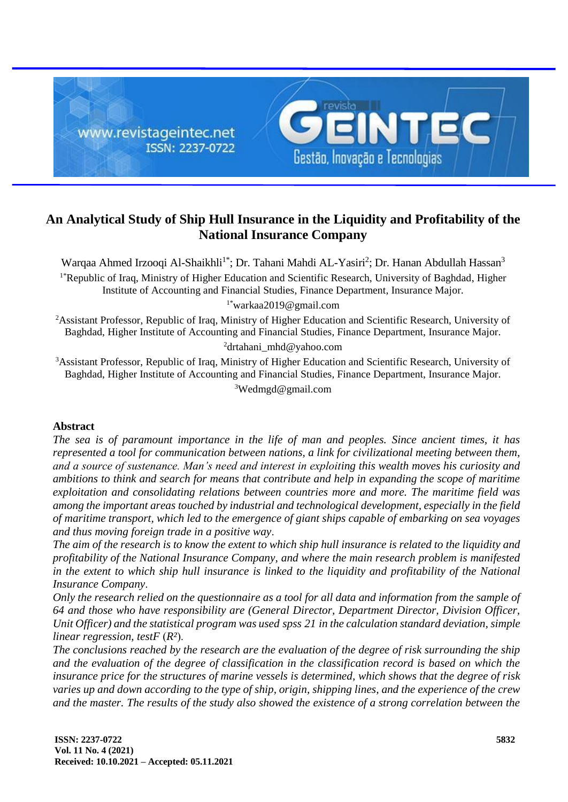

# **An Analytical Study of Ship Hull Insurance in the Liquidity and Profitability of the National Insurance Company**

Warqaa Ahmed Irzooqi Al-Shaikhli<sup>1\*</sup>; Dr. Tahani Mahdi AL-Yasiri<sup>2</sup>; Dr. Hanan Abdullah Hassan<sup>3</sup> 1\*Republic of Iraq, Ministry of Higher Education and Scientific Research, University of Baghdad, Higher Institute of Accounting and Financial Studies, Finance Department, Insurance Major.

1\*[warkaa2019@gmail.com](mailto:warkaa2019@gmail.com)

<sup>2</sup>Assistant Professor, Republic of Iraq, Ministry of Higher Education and Scientific Research, University of Baghdad, Higher Institute of Accounting and Financial Studies, Finance Department, Insurance Major. <sup>2</sup>[drtahani\\_mhd@yahoo.com](mailto:drtahani_mhd@yahoo.com)

<sup>3</sup>Assistant Professor, Republic of Iraq, Ministry of Higher Education and Scientific Research, University of Baghdad, Higher Institute of Accounting and Financial Studies, Finance Department, Insurance Major. <sup>3</sup>[Wedmgd@gmail.com](mailto:Wedmgd@gmail.com)

## **Abstract**

*The sea is of paramount importance in the life of man and peoples. Since ancient times, it has represented a tool for communication between nations, a link for civilizational meeting between them, and a source of sustenance. Man's need and interest in exploiting this wealth moves his curiosity and ambitions to think and search for means that contribute and help in expanding the scope of maritime exploitation and consolidating relations between countries more and more. The maritime field was among the important areas touched by industrial and technological development, especially in the field of maritime transport, which led to the emergence of giant ships capable of embarking on sea voyages and thus moving foreign trade in a positive way*.

*The aim of the research is to know the extent to which ship hull insurance is related to the liquidity and profitability of the National Insurance Company, and where the main research problem is manifested in the extent to which ship hull insurance is linked to the liquidity and profitability of the National Insurance Company*.

*Only the research relied on the questionnaire as a tool for all data and information from the sample of 64 and those who have responsibility are (General Director, Department Director, Division Officer, Unit Officer) and the statistical program was used spss 21 in the calculation standard deviation, simple linear regression, test* $F(R^2)$ *.* 

*The conclusions reached by the research are the evaluation of the degree of risk surrounding the ship and the evaluation of the degree of classification in the classification record is based on which the insurance price for the structures of marine vessels is determined, which shows that the degree of risk varies up and down according to the type of ship, origin, shipping lines, and the experience of the crew and the master. The results of the study also showed the existence of a strong correlation between the*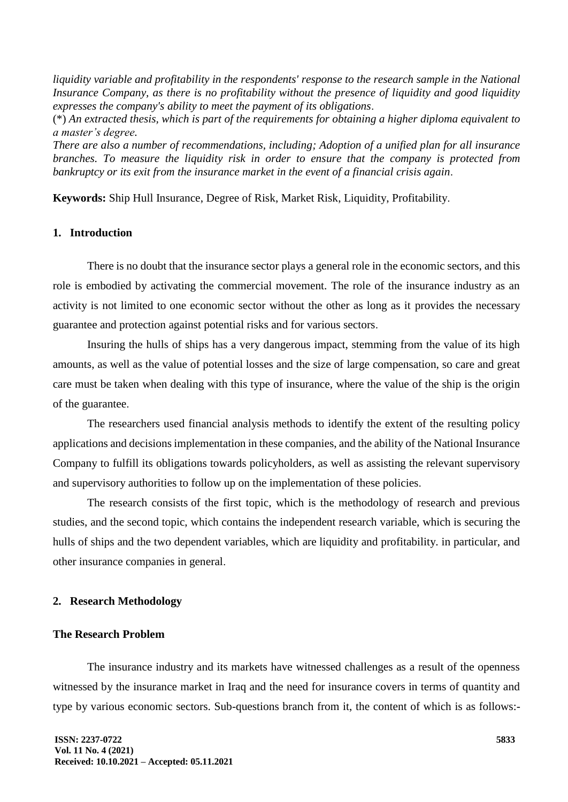*liquidity variable and profitability in the respondents' response to the research sample in the National Insurance Company, as there is no profitability without the presence of liquidity and good liquidity expresses the company's ability to meet the payment of its obligations*.

(\*) *An extracted thesis, which is part of the requirements for obtaining a higher diploma equivalent to a master's degree.*

*There are also a number of recommendations, including; Adoption of a unified plan for all insurance branches. To measure the liquidity risk in order to ensure that the company is protected from bankruptcy or its exit from the insurance market in the event of a financial crisis again*.

**Keywords:** Ship Hull Insurance, Degree of Risk, Market Risk, Liquidity, Profitability.

#### **1. Introduction**

There is no doubt that the insurance sector plays a general role in the economic sectors, and this role is embodied by activating the commercial movement. The role of the insurance industry as an activity is not limited to one economic sector without the other as long as it provides the necessary guarantee and protection against potential risks and for various sectors.

Insuring the hulls of ships has a very dangerous impact, stemming from the value of its high amounts, as well as the value of potential losses and the size of large compensation, so care and great care must be taken when dealing with this type of insurance, where the value of the ship is the origin of the guarantee.

The researchers used financial analysis methods to identify the extent of the resulting policy applications and decisions implementation in these companies, and the ability of the National Insurance Company to fulfill its obligations towards policyholders, as well as assisting the relevant supervisory and supervisory authorities to follow up on the implementation of these policies.

The research consists of the first topic, which is the methodology of research and previous studies, and the second topic, which contains the independent research variable, which is securing the hulls of ships and the two dependent variables, which are liquidity and profitability. in particular, and other insurance companies in general.

#### **2. Research Methodology**

### **The Research Problem**

The insurance industry and its markets have witnessed challenges as a result of the openness witnessed by the insurance market in Iraq and the need for insurance covers in terms of quantity and type by various economic sectors. Sub-questions branch from it, the content of which is as follows:-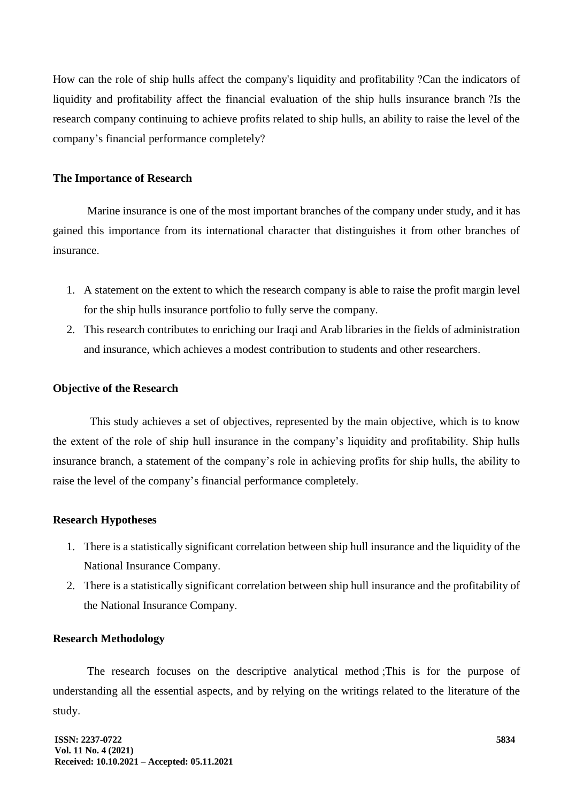How can the role of ship hulls affect the company's liquidity and profitability ?Can the indicators of liquidity and profitability affect the financial evaluation of the ship hulls insurance branch ?Is the research company continuing to achieve profits related to ship hulls, an ability to raise the level of the company's financial performance completely?

#### **The Importance of Research**

Marine insurance is one of the most important branches of the company under study, and it has gained this importance from its international character that distinguishes it from other branches of insurance.

- 1. A statement on the extent to which the research company is able to raise the profit margin level for the ship hulls insurance portfolio to fully serve the company.
- 2. This research contributes to enriching our Iraqi and Arab libraries in the fields of administration and insurance, which achieves a modest contribution to students and other researchers.

### **Objective of the Research**

This study achieves a set of objectives, represented by the main objective, which is to know the extent of the role of ship hull insurance in the company's liquidity and profitability. Ship hulls insurance branch, a statement of the company's role in achieving profits for ship hulls, the ability to raise the level of the company's financial performance completely.

## **Research Hypotheses**

- 1. There is a statistically significant correlation between ship hull insurance and the liquidity of the National Insurance Company.
- 2. There is a statistically significant correlation between ship hull insurance and the profitability of the National Insurance Company.

#### **Research Methodology**

The research focuses on the descriptive analytical method ;This is for the purpose of understanding all the essential aspects, and by relying on the writings related to the literature of the study.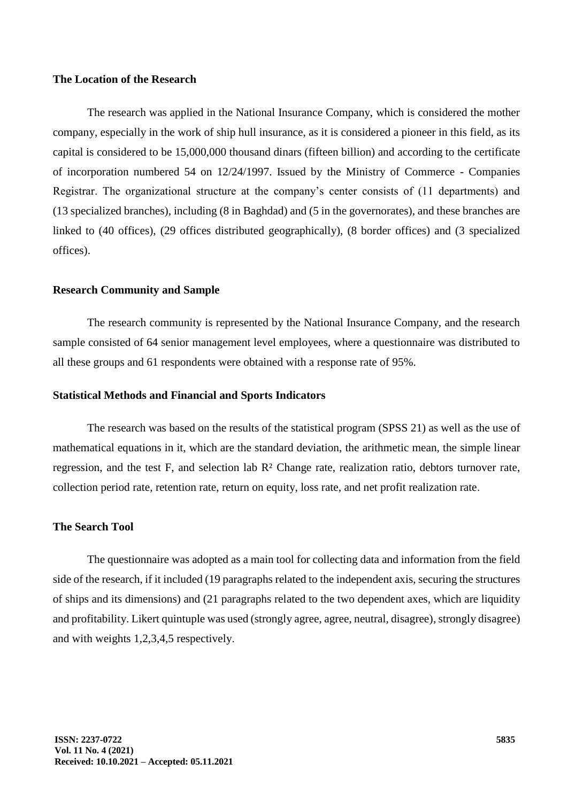## **The Location of the Research**

The research was applied in the National Insurance Company, which is considered the mother company, especially in the work of ship hull insurance, as it is considered a pioneer in this field, as its capital is considered to be 15,000,000 thousand dinars (fifteen billion) and according to the certificate of incorporation numbered 54 on 12/24/1997. Issued by the Ministry of Commerce - Companies Registrar. The organizational structure at the company's center consists of (11 departments) and (13 specialized branches), including (8 in Baghdad) and (5 in the governorates), and these branches are linked to (40 offices), (29 offices distributed geographically), (8 border offices) and (3 specialized offices).

#### **Research Community and Sample**

The research community is represented by the National Insurance Company, and the research sample consisted of 64 senior management level employees, where a questionnaire was distributed to all these groups and 61 respondents were obtained with a response rate of 95%.

#### **Statistical Methods and Financial and Sports Indicators**

The research was based on the results of the statistical program (SPSS 21) as well as the use of mathematical equations in it, which are the standard deviation, the arithmetic mean, the simple linear regression, and the test F, and selection lab R² Change rate, realization ratio, debtors turnover rate, collection period rate, retention rate, return on equity, loss rate, and net profit realization rate.

#### **The Search Tool**

The questionnaire was adopted as a main tool for collecting data and information from the field side of the research, if it included (19 paragraphs related to the independent axis, securing the structures of ships and its dimensions) and (21 paragraphs related to the two dependent axes, which are liquidity and profitability. Likert quintuple was used (strongly agree, agree, neutral, disagree), strongly disagree) and with weights 1,2,3,4,5 respectively.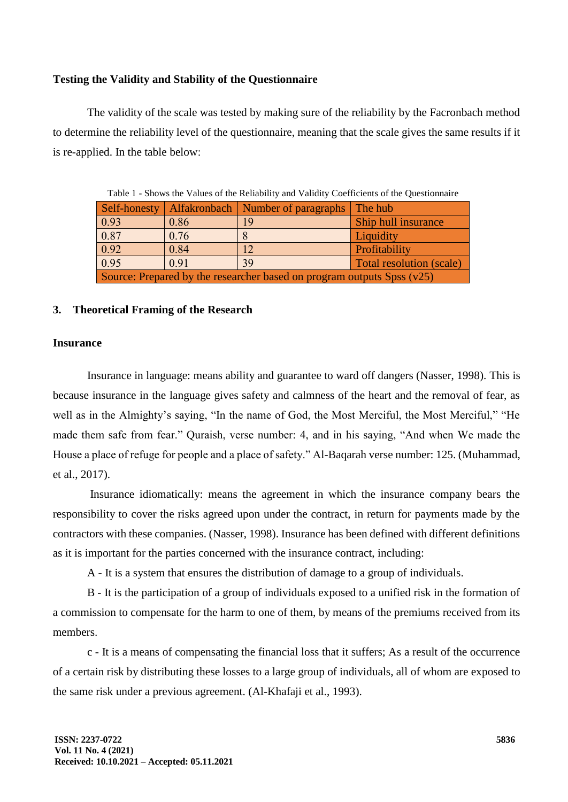## **Testing the Validity and Stability of the Questionnaire**

The validity of the scale was tested by making sure of the reliability by the Facronbach method to determine the reliability level of the questionnaire, meaning that the scale gives the same results if it is re-applied. In the table below:

| Table 1 - Shows the Values of the Rehability and Vandity Coefficients of the Questionnale |      |                                     |                          |  |  |  |  |
|-------------------------------------------------------------------------------------------|------|-------------------------------------|--------------------------|--|--|--|--|
| Self-honesty                                                                              |      | Alfakronbach   Number of paragraphs | The hub                  |  |  |  |  |
| $\boxed{0.93}$                                                                            | 0.86 | 19                                  | Ship hull insurance      |  |  |  |  |
| 0.87                                                                                      | 0.76 |                                     | Liquidity                |  |  |  |  |
| 0.92                                                                                      | 0.84 | 12                                  | Profitability            |  |  |  |  |
| 0.95                                                                                      | 0.91 | 39                                  | Total resolution (scale) |  |  |  |  |
| Source: Prepared by the researcher based on program outputs Spss (v25)                    |      |                                     |                          |  |  |  |  |

Table 1 - Shows the Values of the Reliability and Validity Coefficients of the Questionnaire

### **3. Theoretical Framing of the Research**

## **Insurance**

Insurance in language: means ability and guarantee to ward off dangers (Nasser, 1998). This is because insurance in the language gives safety and calmness of the heart and the removal of fear, as well as in the Almighty's saying, "In the name of God, the Most Merciful, the Most Merciful," "He made them safe from fear." Quraish, verse number: 4, and in his saying, "And when We made the House a place of refuge for people and a place of safety." Al-Baqarah verse number: 125. (Muhammad, et al., 2017).

Insurance idiomatically: means the agreement in which the insurance company bears the responsibility to cover the risks agreed upon under the contract, in return for payments made by the contractors with these companies. (Nasser, 1998). Insurance has been defined with different definitions as it is important for the parties concerned with the insurance contract, including:

A - It is a system that ensures the distribution of damage to a group of individuals.

B - It is the participation of a group of individuals exposed to a unified risk in the formation of a commission to compensate for the harm to one of them, by means of the premiums received from its members.

c - It is a means of compensating the financial loss that it suffers; As a result of the occurrence of a certain risk by distributing these losses to a large group of individuals, all of whom are exposed to the same risk under a previous agreement. (Al-Khafaji et al., 1993).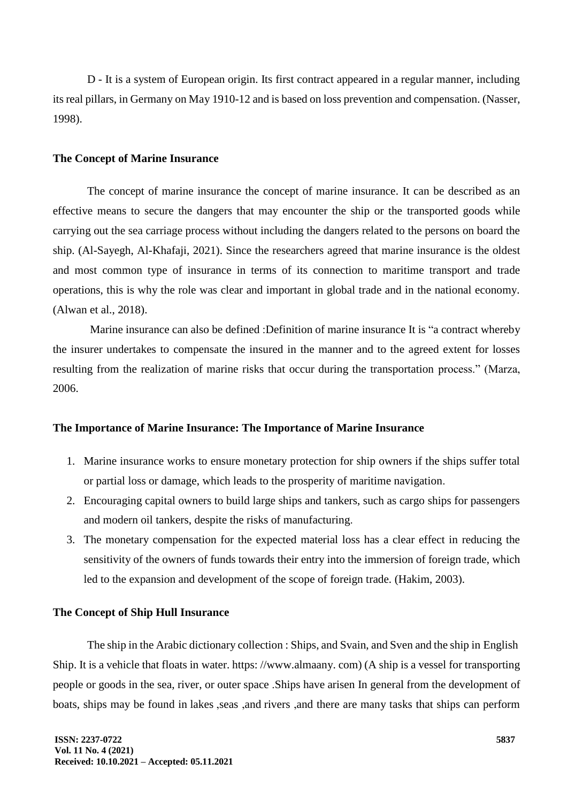D - It is a system of European origin. Its first contract appeared in a regular manner, including its real pillars, in Germany on May 1910-12 and is based on loss prevention and compensation. (Nasser, 1998).

#### **The Concept of Marine Insurance**

The concept of marine insurance the concept of marine insurance. It can be described as an effective means to secure the dangers that may encounter the ship or the transported goods while carrying out the sea carriage process without including the dangers related to the persons on board the ship. (Al-Sayegh, Al-Khafaji, 2021). Since the researchers agreed that marine insurance is the oldest and most common type of insurance in terms of its connection to maritime transport and trade operations, this is why the role was clear and important in global trade and in the national economy. (Alwan et al., 2018).

Marine insurance can also be defined :Definition of marine insurance It is "a contract whereby the insurer undertakes to compensate the insured in the manner and to the agreed extent for losses resulting from the realization of marine risks that occur during the transportation process." (Marza, 2006.

## **The Importance of Marine Insurance: The Importance of Marine Insurance**

- 1. Marine insurance works to ensure monetary protection for ship owners if the ships suffer total or partial loss or damage, which leads to the prosperity of maritime navigation.
- 2. Encouraging capital owners to build large ships and tankers, such as cargo ships for passengers and modern oil tankers, despite the risks of manufacturing.
- 3. The monetary compensation for the expected material loss has a clear effect in reducing the sensitivity of the owners of funds towards their entry into the immersion of foreign trade, which led to the expansion and development of the scope of foreign trade. (Hakim, 2003).

### **The Concept of Ship Hull Insurance**

The ship in the Arabic dictionary collection : Ships, and Svain, and Sven and the ship in [English](https://translate.google.com/translate?hl=ar&prev=_t&sl=ar&tl=en&u=https://www.marefa.org/%25D8%25A8%25D8%25A7%25D9%2584%25D8%25A5%25D9%2586%25D8%25AC%25D9%2584%25D9%258A%25D8%25B2%25D9%258A%25D8%25A9) Ship. It is a vehicle that floats in [water.](https://translate.google.com/translate?hl=ar&prev=_t&sl=ar&tl=en&u=https://www.marefa.org/%25D8%25A7%25D9%2584%25D9%2585%25D8%25A7%25D8%25A1) https: //www.almaany. com) (A ship is a vessel for transporting people or goods in the sea, river, or outer space [.Ships](https://translate.google.com/translate?hl=ar&prev=_t&sl=ar&tl=en&u=https://www.marefa.org/%25D8%25A7%25D9%2584%25D8%25B3%25D9%2581%25D9%2586) have arisen In general from the development of boats, ships may be found in [lakes](https://translate.google.com/translate?hl=ar&prev=_t&sl=ar&tl=en&u=https://www.marefa.org/%25D8%25A8%25D8%25AD%25D9%258A%25D8%25B1%25D8%25A9) [,seas](https://translate.google.com/translate?hl=ar&prev=_t&sl=ar&tl=en&u=https://www.marefa.org/%25D8%25A8%25D8%25AD%25D8%25B1) ,and [rivers](https://translate.google.com/translate?hl=ar&prev=_t&sl=ar&tl=en&u=https://www.marefa.org/%25D9%2586%25D9%2587%25D8%25B1) ,and there are many tasks that ships can perform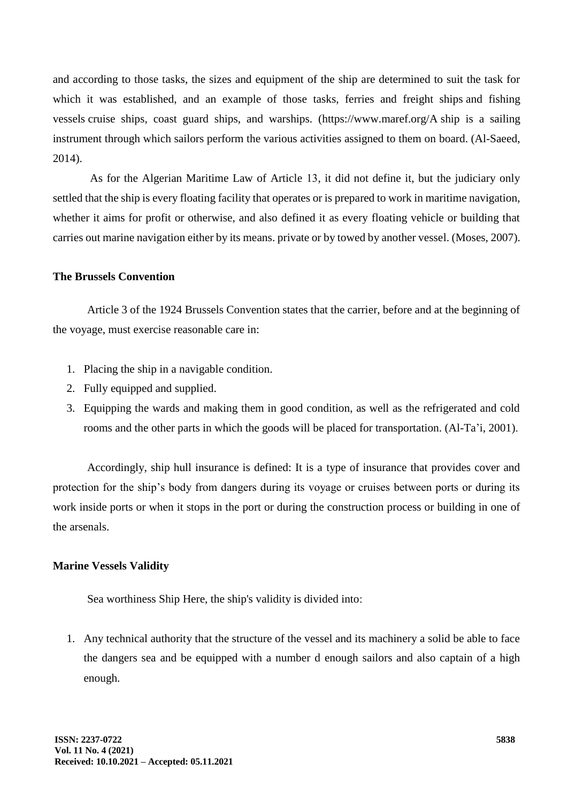and according to those tasks, the sizes and equipment of the ship are determined to suit the task for which it was established, and an example of those tasks, ferries and freight ships [and fishing](https://translate.google.com/translate?hl=ar&prev=_t&sl=ar&tl=en&u=https://www.marefa.org/index.php%3Ftitle%3D%25D8%25B3%25D9%2581%25D9%258A%25D9%2586%25D8%25A9_%25D8%25B5%25D9%258A%25D8%25AF%26action%3Dedit%26redlink%3D1)  [vessels](https://translate.google.com/translate?hl=ar&prev=_t&sl=ar&tl=en&u=https://www.marefa.org/index.php%3Ftitle%3D%25D8%25B3%25D9%2581%25D9%258A%25D9%2586%25D8%25A9_%25D8%25B5%25D9%258A%25D8%25AF%26action%3Dedit%26redlink%3D1) cruise ships, coast guard ships, and warships. (https://www.maref.org/A ship is a sailing instrument through which sailors perform the various activities assigned to them on board. (Al-Saeed, 2014).

As for the Algerian Maritime Law of Article 13, it did not define it, but the judiciary only settled that the ship is every floating facility that operates or is prepared to work in maritime navigation, whether it aims for profit or otherwise, and also defined it as every floating vehicle or building that carries out marine navigation either by its means. private or by towed by another vessel. (Moses, 2007).

## **The Brussels Convention**

Article 3 of the 1924 Brussels Convention states that the carrier, before and at the beginning of the voyage, must exercise reasonable care in:

- 1. Placing the ship in a navigable condition.
- 2. Fully equipped and supplied.
- 3. Equipping the wards and making them in good condition, as well as the refrigerated and cold rooms and the other parts in which the goods will be placed for transportation. (Al-Ta'i, 2001).

Accordingly, ship hull insurance is defined: It is a type of insurance that provides cover and protection for the ship's body from dangers during its voyage or cruises between ports or during its work inside ports or when it stops in the port or during the construction process or building in one of the arsenals.

#### **Marine Vessels Validity**

Sea worthiness Ship Here, the ship's validity is divided into:

1. Any technical authority that the structure of the vessel and its machinery a solid be able to face the dangers sea and be equipped with a number d enough sailors and also captain of a high enough.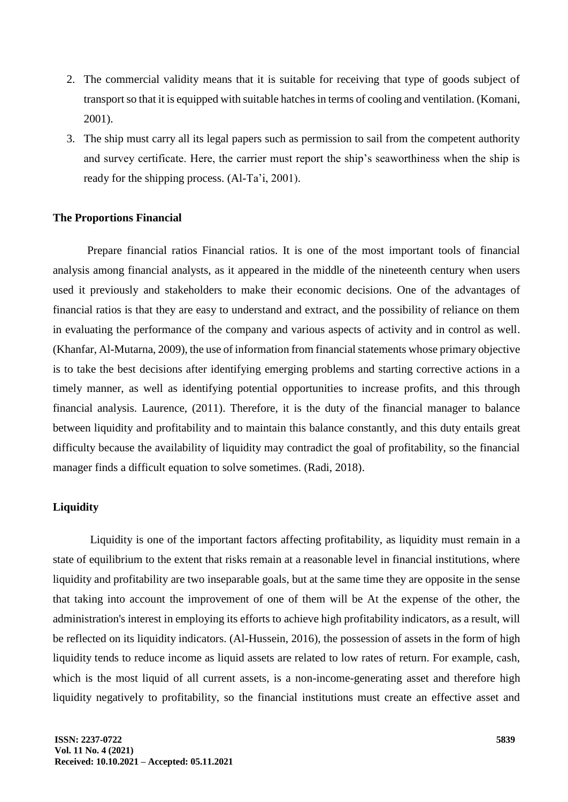- 2. The commercial validity means that it is suitable for receiving that type of goods subject of transport so that it is equipped with suitable hatches in terms of cooling and ventilation. (Komani, 2001).
- 3. The ship must carry all its legal papers such as permission to sail from the competent authority and survey certificate. Here, the carrier must report the ship's seaworthiness when the ship is ready for the shipping process. (Al-Ta'i, 2001).

#### **The Proportions Financial**

Prepare financial ratios Financial ratios. It is one of the most important tools of financial analysis among financial analysts, as it appeared in the middle of the nineteenth century when users used it previously and stakeholders to make their economic decisions. One of the advantages of financial ratios is that they are easy to understand and extract, and the possibility of reliance on them in evaluating the performance of the company and various aspects of activity and in control as well. (Khanfar, Al-Mutarna, 2009), the use of information from financial statements whose primary objective is to take the best decisions after identifying emerging problems and starting corrective actions in a timely manner, as well as identifying potential opportunities to increase profits, and this through financial analysis. Laurence, (2011). Therefore, it is the duty of the financial manager to balance between liquidity and profitability and to maintain this balance constantly, and this duty entails great difficulty because the availability of liquidity may contradict the goal of profitability, so the financial manager finds a difficult equation to solve sometimes. (Radi, 2018).

### **Liquidity**

Liquidity is one of the important factors affecting profitability, as liquidity must remain in a state of equilibrium to the extent that risks remain at a reasonable level in financial institutions, where liquidity and profitability are two inseparable goals, but at the same time they are opposite in the sense that taking into account the improvement of one of them will be At the expense of the other, the administration's interest in employing its efforts to achieve high profitability indicators, as a result, will be reflected on its liquidity indicators. (Al-Hussein, 2016), the possession of assets in the form of high liquidity tends to reduce income as liquid assets are related to low rates of return. For example, cash, which is the most liquid of all current assets, is a non-income-generating asset and therefore high liquidity negatively to profitability, so the financial institutions must create an effective asset and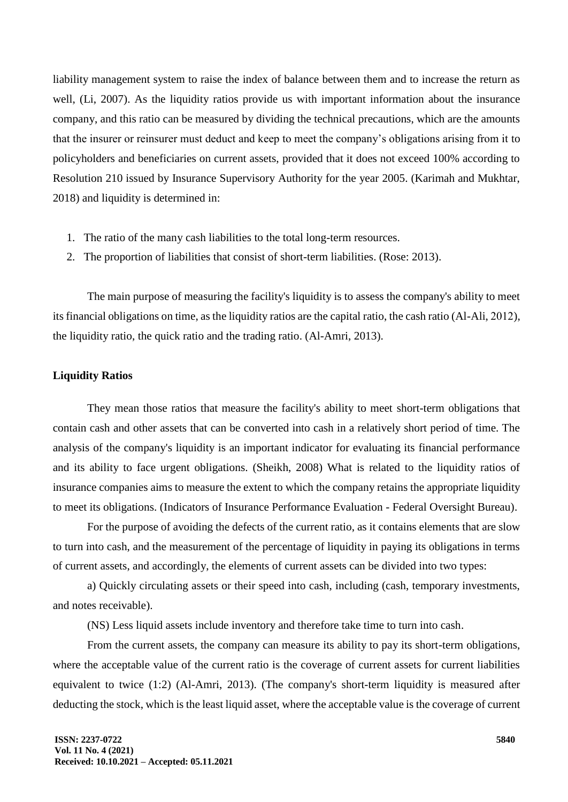liability management system to raise the index of balance between them and to increase the return as well, (Li, 2007). As the liquidity ratios provide us with important information about the insurance company, and this ratio can be measured by dividing the technical precautions, which are the amounts that the insurer or reinsurer must deduct and keep to meet the company's obligations arising from it to policyholders and beneficiaries on current assets, provided that it does not exceed 100% according to Resolution 210 issued by Insurance Supervisory Authority for the year 2005. (Karimah and Mukhtar, 2018) and liquidity is determined in:

- 1. The ratio of the many cash liabilities to the total long-term resources.
- 2. The proportion of liabilities that consist of short-term liabilities. (Rose: 2013).

The main purpose of measuring the facility's liquidity is to assess the company's ability to meet its financial obligations on time, as the liquidity ratios are the capital ratio, the cash ratio (Al-Ali, 2012), the liquidity ratio, the quick ratio and the trading ratio. (Al-Amri, 2013).

### **Liquidity Ratios**

They mean those ratios that measure the facility's ability to meet short-term obligations that contain cash and other assets that can be converted into cash in a relatively short period of time. The analysis of the company's liquidity is an important indicator for evaluating its financial performance and its ability to face urgent obligations. (Sheikh, 2008) What is related to the liquidity ratios of insurance companies aims to measure the extent to which the company retains the appropriate liquidity to meet its obligations. (Indicators of Insurance Performance Evaluation - Federal Oversight Bureau).

For the purpose of avoiding the defects of the current ratio, as it contains elements that are slow to turn into cash, and the measurement of the percentage of liquidity in paying its obligations in terms of current assets, and accordingly, the elements of current assets can be divided into two types:

a) Quickly circulating assets or their speed into cash, including (cash, temporary investments, and notes receivable).

(NS) Less liquid assets include inventory and therefore take time to turn into cash.

From the current assets, the company can measure its ability to pay its short-term obligations, where the acceptable value of the current ratio is the coverage of current assets for current liabilities equivalent to twice (1:2) (Al-Amri, 2013). (The company's short-term liquidity is measured after deducting the stock, which is the least liquid asset, where the acceptable value is the coverage of current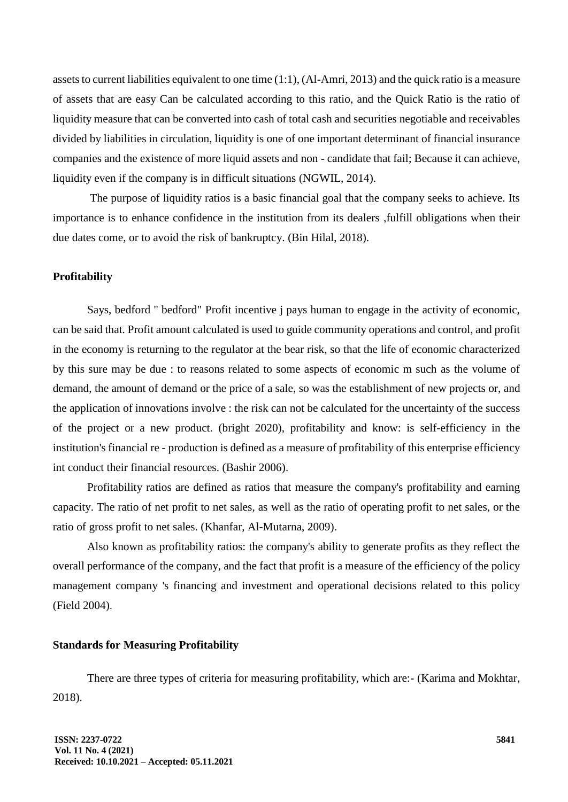assets to current liabilities equivalent to one time (1:1), (Al-Amri, 2013) and the quick ratio is a measure of assets that are easy Can be calculated according to this ratio, and the Quick Ratio is the ratio of liquidity measure that can be converted into cash of total cash and securities negotiable and receivables divided by liabilities in circulation, liquidity is one of one important determinant of financial insurance companies and the existence of more liquid assets and non - candidate that fail; Because it can achieve, liquidity even if the company is in difficult situations (NGWIL, 2014).

The purpose of liquidity ratios is a basic financial goal that the company seeks to achieve. Its importance is to enhance confidence in the institution from its dealers ,fulfill obligations when their due dates come, or to avoid the risk of bankruptcy. (Bin Hilal, 2018).

## **Profitability**

Says, bedford " bedford" Profit incentive j pays human to engage in the activity of economic, can be said that. Profit amount calculated is used to guide community operations and control, and profit in the economy is returning to the regulator at the bear risk, so that the life of economic characterized by this sure may be due : to reasons related to some aspects of economic m such as the volume of demand, the amount of demand or the price of a sale, so was the establishment of new projects or, and the application of innovations involve : the risk can not be calculated for the uncertainty of the success of the project or a new product. (bright 2020), profitability and know: is self-efficiency in the institution's financial re - production is defined as a measure of profitability of this enterprise efficiency int conduct their financial resources. (Bashir 2006).

Profitability ratios are defined as ratios that measure the company's profitability and earning capacity. The ratio of net profit to net sales, as well as the ratio of operating profit to net sales, or the ratio of gross profit to net sales. (Khanfar, Al-Mutarna, 2009).

Also known as profitability ratios: the company's ability to generate profits as they reflect the overall performance of the company, and the fact that profit is a measure of the efficiency of the policy management company 's financing and investment and operational decisions related to this policy (Field 2004).

#### **Standards for Measuring Profitability**

There are three types of criteria for measuring profitability, which are:- (Karima and Mokhtar, 2018).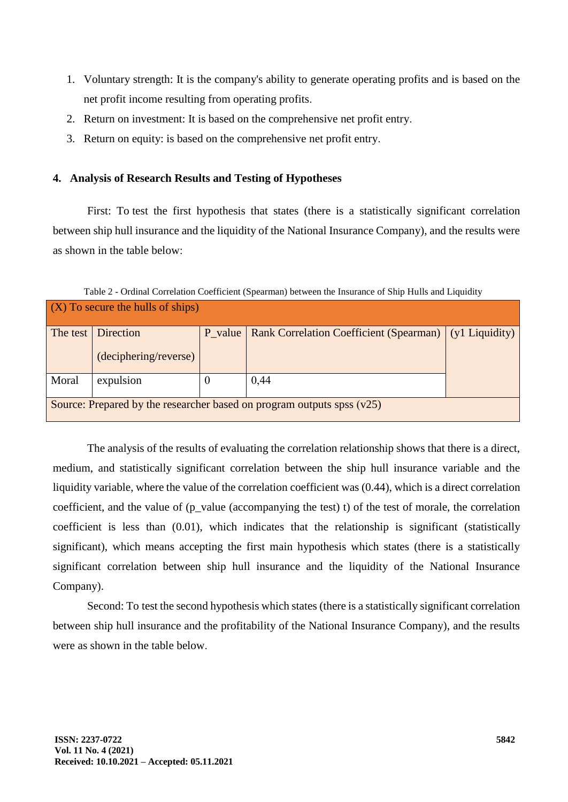- 1. Voluntary strength: It is the company's ability to generate operating profits and is based on the net profit income resulting from operating profits.
- 2. Return on investment: It is based on the comprehensive net profit entry.
- 3. Return on equity: is based on the comprehensive net profit entry.

## **4. Analysis of Research Results and Testing of Hypotheses**

First: To test the first hypothesis that states (there is a statistically significant correlation between ship hull insurance and the liquidity of the National Insurance Company), and the results were as shown in the table below:

| Table 2 - Ordinal Correlation Coefficient (Spearman) between the Insurance of Ship Hulls and Liquidity |                                    |         |                                                |                  |  |  |  |
|--------------------------------------------------------------------------------------------------------|------------------------------------|---------|------------------------------------------------|------------------|--|--|--|
| $(X)$ To secure the hulls of ships)                                                                    |                                    |         |                                                |                  |  |  |  |
| The test                                                                                               | Direction<br>(deciphering/reverse) | P value | <b>Rank Correlation Coefficient (Spearman)</b> | $(y1$ Liquidity) |  |  |  |
| Moral                                                                                                  | expulsion                          |         | 0,44                                           |                  |  |  |  |
| Source: Prepared by the researcher based on program outputs spss $(v25)$                               |                                    |         |                                                |                  |  |  |  |

The analysis of the results of evaluating the correlation relationship shows that there is a direct, medium, and statistically significant correlation between the ship hull insurance variable and the liquidity variable, where the value of the correlation coefficient was (0.44), which is a direct correlation coefficient, and the value of (p\_value (accompanying the test) t) of the test of morale, the correlation coefficient is less than (0.01), which indicates that the relationship is significant (statistically significant), which means accepting the first main hypothesis which states (there is a statistically significant correlation between ship hull insurance and the liquidity of the National Insurance

Company).

Second: To test the second hypothesis which states (there is a statistically significant correlation between ship hull insurance and the profitability of the National Insurance Company), and the results were as shown in the table below.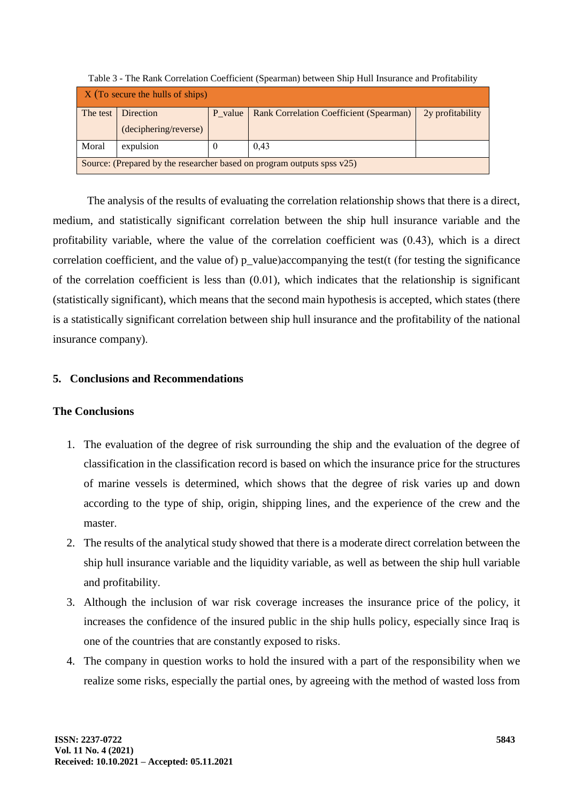| $\overline{X}$ (To secure the hulls of ships)                             |                       |          |                                         |                  |  |  |  |
|---------------------------------------------------------------------------|-----------------------|----------|-----------------------------------------|------------------|--|--|--|
|                                                                           | The test   Direction  | P value  | Rank Correlation Coefficient (Spearman) | 2y profitability |  |  |  |
|                                                                           | (deciphering/reverse) |          |                                         |                  |  |  |  |
| Moral                                                                     | expulsion             | $\theta$ | 0.43                                    |                  |  |  |  |
| Source: (Prepared by the researcher based on program outputs spss $v25$ ) |                       |          |                                         |                  |  |  |  |

Table 3 - The Rank Correlation Coefficient (Spearman) between Ship Hull Insurance and Profitability

The analysis of the results of evaluating the correlation relationship shows that there is a direct, medium, and statistically significant correlation between the ship hull insurance variable and the profitability variable, where the value of the correlation coefficient was (0.43), which is a direct correlation coefficient, and the value of)  $p_value$  accompanying the test( $t$  (for testing the significance of the correlation coefficient is less than (0.01), which indicates that the relationship is significant (statistically significant), which means that the second main hypothesis is accepted, which states (there is a statistically significant correlation between ship hull insurance and the profitability of the national insurance company).

## **5. Conclusions and Recommendations**

## **The Conclusions**

- 1. The evaluation of the degree of risk surrounding the ship and the evaluation of the degree of classification in the classification record is based on which the insurance price for the structures of marine vessels is determined, which shows that the degree of risk varies up and down according to the type of ship, origin, shipping lines, and the experience of the crew and the master.
- 2. The results of the analytical study showed that there is a moderate direct correlation between the ship hull insurance variable and the liquidity variable, as well as between the ship hull variable and profitability.
- 3. Although the inclusion of war risk coverage increases the insurance price of the policy, it increases the confidence of the insured public in the ship hulls policy, especially since Iraq is one of the countries that are constantly exposed to risks.
- 4. The company in question works to hold the insured with a part of the responsibility when we realize some risks, especially the partial ones, by agreeing with the method of wasted loss from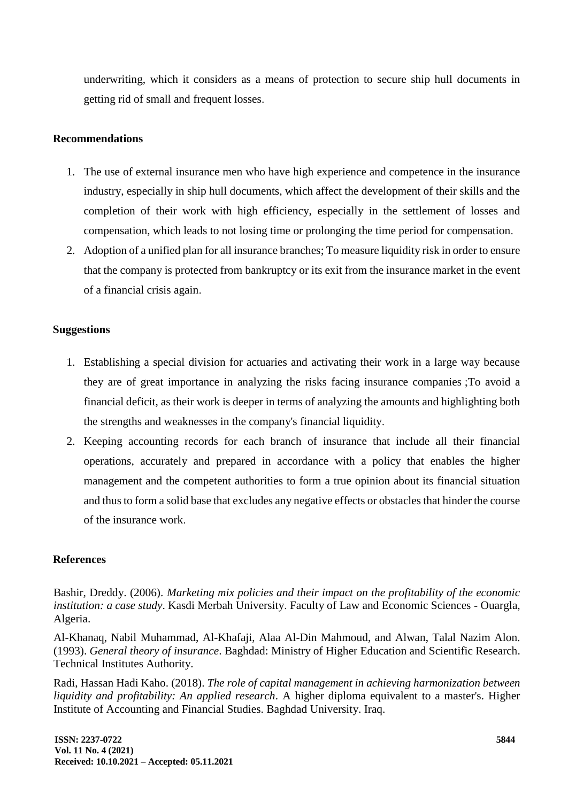underwriting, which it considers as a means of protection to secure ship hull documents in getting rid of small and frequent losses.

## **Recommendations**

- 1. The use of external insurance men who have high experience and competence in the insurance industry, especially in ship hull documents, which affect the development of their skills and the completion of their work with high efficiency, especially in the settlement of losses and compensation, which leads to not losing time or prolonging the time period for compensation.
- 2. Adoption of a unified plan for all insurance branches; To measure liquidity risk in order to ensure that the company is protected from bankruptcy or its exit from the insurance market in the event of a financial crisis again.

## **Suggestions**

- 1. Establishing a special division for actuaries and activating their work in a large way because they are of great importance in analyzing the risks facing insurance companies ;To avoid a financial deficit, as their work is deeper in terms of analyzing the amounts and highlighting both the strengths and weaknesses in the company's financial liquidity.
- 2. Keeping accounting records for each branch of insurance that include all their financial operations, accurately and prepared in accordance with a policy that enables the higher management and the competent authorities to form a true opinion about its financial situation and thus to form a solid base that excludes any negative effects or obstacles that hinder the course of the insurance work.

## **References**

Bashir, Dreddy. (2006). *Marketing mix policies and their impact on the profitability of the economic institution: a case study*. Kasdi Merbah University. Faculty of Law and Economic Sciences - Ouargla, Algeria.

Al-Khanaq, Nabil Muhammad, Al-Khafaji, Alaa Al-Din Mahmoud, and Alwan, Talal Nazim Alon. (1993). *General theory of insurance*. Baghdad: Ministry of Higher Education and Scientific Research. Technical Institutes Authority.

Radi, Hassan Hadi Kaho. (2018). *The role of capital management in achieving harmonization between liquidity and profitability: An applied research*. A higher diploma equivalent to a master's. Higher Institute of Accounting and Financial Studies. Baghdad University. Iraq.